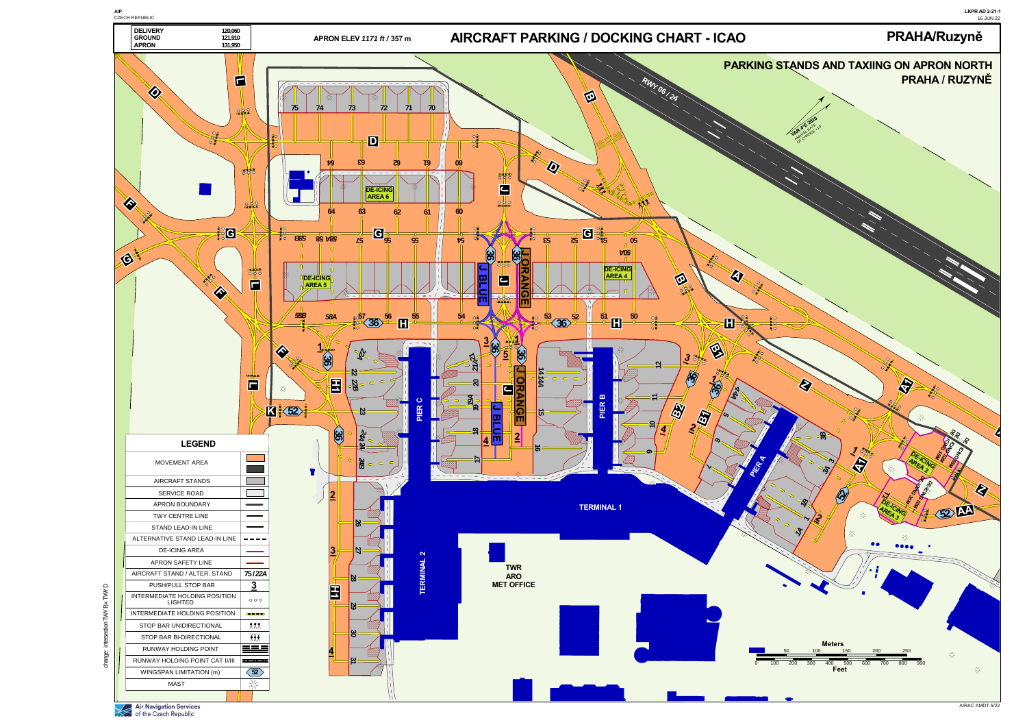



Air Navigation Services<br>of the Czech Republic

Ĕ